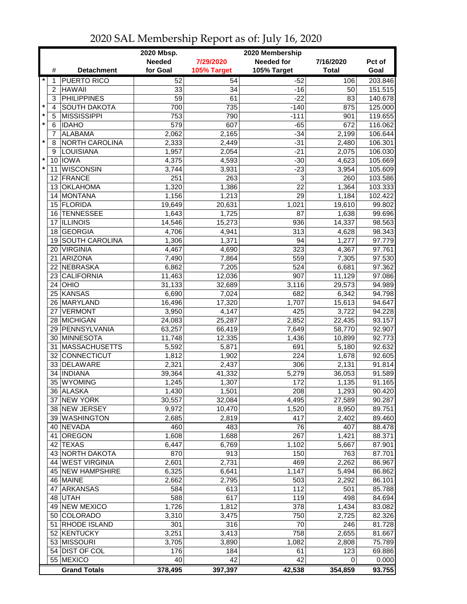| <b>Needed</b><br><b>Needed for</b><br>7/29/2020<br>7/16/2020<br>Pct of<br>for Goal<br>105% Target<br>105% Target<br><b>Total</b><br>Goal<br>#<br><b>Detachment</b><br>203.846<br>$\star$<br><b>PUERTO RICO</b><br>52<br>54<br>$-52$<br>106<br>1<br><b>HAWAII</b><br>33<br>34<br>$-16$<br>151.515<br>$\overline{2}$<br>50<br><b>PHILIPPINES</b><br>3<br>59<br>61<br>$-22$<br>83<br>140.678<br>$\star$<br><b>SOUTH DAKOTA</b><br>735<br>125.000<br>4<br>700<br>$-140$<br>875<br>$\pmb{\ast}$<br><b>MISSISSIPPI</b><br>5<br>753<br>790<br>$-111$<br>119.655<br>901<br>$\star$<br>607<br>6<br><b>IDAHO</b><br>579<br>$-65$<br>672<br>116.062<br><b>ALABAMA</b><br>2,062<br>$-34$<br>2,199<br>106.644<br>7<br>2,165<br>$\star$<br><b>NORTH CAROLINA</b><br>$-31$<br>8<br>2,333<br>2,449<br>2,480<br>106.301<br>LOUISIANA<br>2,054<br>$-21$<br>9<br>1,957<br>2,075<br>106.030<br>$\star$<br>10 IOWA<br>4,375<br>4,593<br>$-30$<br>4,623<br>105.669<br>$\star$<br><b>WISCONSIN</b><br>$-23$<br>11<br>3,744<br>3,931<br>3,954<br>105.609<br>251<br>263<br>3<br>12 FRANCE<br>260<br>103.586<br>1,386<br>22<br>13 OKLAHOMA<br>1,320<br>1,364<br>103.333<br>14 MONTANA<br>1,156<br>1,213<br>29<br>1,184<br>102.422<br>15 FLORIDA<br>19,649<br>20,631<br>1,021<br>19,610<br>99.802<br>16 TENNESSEE<br>1,643<br>1,725<br>87<br>1,638<br>99.696<br><b>ILLINOIS</b><br>15,273<br>936<br>14,337<br>98.563<br>14,546<br>17<br>18 GEORGIA<br>4,706<br>313<br>4,628<br>98.343<br>4,941<br><b>SOUTH CAROLINA</b><br>94<br>1,277<br>97.779<br>1,306<br>1,371<br>19<br>97.761<br><b>VIRGINIA</b><br>323<br>4,367<br>20<br>4,467<br>4,690<br>97.530<br>ARIZONA<br>559<br>21<br>7,490<br>7,864<br>7,305<br>NEBRASKA<br>97.362<br>22<br>6,862<br>524<br>7,205<br>6,681<br><b>CALIFORNIA</b><br>907<br>97.086<br>23<br>11,463<br>12,036<br>11,129<br>OHIO<br>3,116<br>31,133<br>32,689<br>29,573<br>94.989<br>24<br>KANSAS<br>6,690<br>682<br>25<br>7,024<br>6,342<br>94.798<br>MARYLAND<br>17,320<br>1,707<br>94.647<br>26<br>16,496<br>15,613<br>27 VERMONT<br>4,147<br>425<br>3,722<br>94.228<br>3,950<br>28 MICHIGAN<br>2,852<br>93.157<br>24,083<br>25,287<br>22,435<br>29 PENNSYLVANIA<br>63,257<br>7,649<br>92.907<br>66,419<br>58,770<br>1,436<br>30 MINNESOTA<br>11,748<br>12,335<br>92.773<br>10,899<br>92.632<br>31 MASSACHUSETTS<br>5,592<br>691<br>5,871<br>5,180<br>224<br>32 CONNECTICUT<br>1,902<br>1,678<br>92.605<br>1,812<br>33 DELAWARE<br>2,321<br>2,437<br>306<br>2,131<br>91.814<br><b>INDIANA</b><br>91.589<br>34<br>39,364<br>41,332<br>5,279<br>36,053<br>35 WYOMING<br>1,307<br>172<br>91.165<br>1,245<br>1,135<br>36 ALASKA<br>1,430<br>1,501<br>208<br>1,293<br>90.420<br>37 NEW YORK<br>30,557<br>4,495<br>27,589<br>90.287<br>32,084<br>38 NEW JERSEY<br>9,972<br>8,950<br>89.751<br>10,470<br>1,520<br>39 WASHINGTON<br>417<br>89.460<br>2,685<br>2,819<br>2,402<br>76<br>40 NEVADA<br>460<br>483<br>407<br>88.478<br>OREGON<br>1,608<br>1,688<br>267<br>1,421<br>88.371<br>41<br>6,447<br>6,769<br>42 TEXAS<br>1,102<br>5,667<br>87.901<br>43 NORTH DAKOTA<br>913<br>150<br>870<br>763<br>87.701<br>44 WEST VIRGINIA<br>2,731<br>469<br>2,601<br>2,262<br>86.967<br>45 NEW HAMPSHIRE<br>6,325<br>6,641<br>1,147<br>5,494<br>86.862<br>2,795<br>46 MAINE<br>2,662<br>503<br>2,292<br>86.101<br>112<br>47 ARKANSAS<br>613<br>85.788<br>584<br>501<br>617<br>119<br>48 UTAH<br>588<br>498<br>84.694<br>49 NEW MEXICO<br>1,726<br>1,812<br>378<br>1,434<br>83.082<br>50 COLORADO<br>3,310<br>3,475<br>750<br>2,725<br>82.326<br>51 RHODE ISLAND<br>301<br>316<br>70<br>246<br>81.728<br>52 KENTUCKY<br>3,251<br>3,413<br>758<br>2,655<br>81.667<br>53 MISSOURI<br>3,705<br>75.789<br>3,890<br>1,082<br>2,808<br>54 DIST OF COL<br>123<br>69.886<br>176<br>184<br>61<br>55 MEXICO<br>42<br>42<br>40<br>0.000<br>0<br><b>Grand Totals</b><br>378,495<br>397,397<br>42,538<br>354,859<br>93.755 |  | 2020 Mbsp.<br>2020 Membership |  |  |  |  |  |
|-------------------------------------------------------------------------------------------------------------------------------------------------------------------------------------------------------------------------------------------------------------------------------------------------------------------------------------------------------------------------------------------------------------------------------------------------------------------------------------------------------------------------------------------------------------------------------------------------------------------------------------------------------------------------------------------------------------------------------------------------------------------------------------------------------------------------------------------------------------------------------------------------------------------------------------------------------------------------------------------------------------------------------------------------------------------------------------------------------------------------------------------------------------------------------------------------------------------------------------------------------------------------------------------------------------------------------------------------------------------------------------------------------------------------------------------------------------------------------------------------------------------------------------------------------------------------------------------------------------------------------------------------------------------------------------------------------------------------------------------------------------------------------------------------------------------------------------------------------------------------------------------------------------------------------------------------------------------------------------------------------------------------------------------------------------------------------------------------------------------------------------------------------------------------------------------------------------------------------------------------------------------------------------------------------------------------------------------------------------------------------------------------------------------------------------------------------------------------------------------------------------------------------------------------------------------------------------------------------------------------------------------------------------------------------------------------------------------------------------------------------------------------------------------------------------------------------------------------------------------------------------------------------------------------------------------------------------------------------------------------------------------------------------------------------------------------------------------------------------------------------------------------------------------------------------------------------------------------------------------------------------------------------------------------------------------------------------------------------------------------------------------------------------------------------------------------------------------------------------------------------------------------------------------------------------------------------------------------------------------------------------------------------------------------------------------------------------------------------------------------------------------------------------------------------------------------------------------------------------------------------------------------|--|-------------------------------|--|--|--|--|--|
|                                                                                                                                                                                                                                                                                                                                                                                                                                                                                                                                                                                                                                                                                                                                                                                                                                                                                                                                                                                                                                                                                                                                                                                                                                                                                                                                                                                                                                                                                                                                                                                                                                                                                                                                                                                                                                                                                                                                                                                                                                                                                                                                                                                                                                                                                                                                                                                                                                                                                                                                                                                                                                                                                                                                                                                                                                                                                                                                                                                                                                                                                                                                                                                                                                                                                                                                                                                                                                                                                                                                                                                                                                                                                                                                                                                                                                                                                                 |  |                               |  |  |  |  |  |
|                                                                                                                                                                                                                                                                                                                                                                                                                                                                                                                                                                                                                                                                                                                                                                                                                                                                                                                                                                                                                                                                                                                                                                                                                                                                                                                                                                                                                                                                                                                                                                                                                                                                                                                                                                                                                                                                                                                                                                                                                                                                                                                                                                                                                                                                                                                                                                                                                                                                                                                                                                                                                                                                                                                                                                                                                                                                                                                                                                                                                                                                                                                                                                                                                                                                                                                                                                                                                                                                                                                                                                                                                                                                                                                                                                                                                                                                                                 |  |                               |  |  |  |  |  |
|                                                                                                                                                                                                                                                                                                                                                                                                                                                                                                                                                                                                                                                                                                                                                                                                                                                                                                                                                                                                                                                                                                                                                                                                                                                                                                                                                                                                                                                                                                                                                                                                                                                                                                                                                                                                                                                                                                                                                                                                                                                                                                                                                                                                                                                                                                                                                                                                                                                                                                                                                                                                                                                                                                                                                                                                                                                                                                                                                                                                                                                                                                                                                                                                                                                                                                                                                                                                                                                                                                                                                                                                                                                                                                                                                                                                                                                                                                 |  |                               |  |  |  |  |  |
|                                                                                                                                                                                                                                                                                                                                                                                                                                                                                                                                                                                                                                                                                                                                                                                                                                                                                                                                                                                                                                                                                                                                                                                                                                                                                                                                                                                                                                                                                                                                                                                                                                                                                                                                                                                                                                                                                                                                                                                                                                                                                                                                                                                                                                                                                                                                                                                                                                                                                                                                                                                                                                                                                                                                                                                                                                                                                                                                                                                                                                                                                                                                                                                                                                                                                                                                                                                                                                                                                                                                                                                                                                                                                                                                                                                                                                                                                                 |  |                               |  |  |  |  |  |
|                                                                                                                                                                                                                                                                                                                                                                                                                                                                                                                                                                                                                                                                                                                                                                                                                                                                                                                                                                                                                                                                                                                                                                                                                                                                                                                                                                                                                                                                                                                                                                                                                                                                                                                                                                                                                                                                                                                                                                                                                                                                                                                                                                                                                                                                                                                                                                                                                                                                                                                                                                                                                                                                                                                                                                                                                                                                                                                                                                                                                                                                                                                                                                                                                                                                                                                                                                                                                                                                                                                                                                                                                                                                                                                                                                                                                                                                                                 |  |                               |  |  |  |  |  |
|                                                                                                                                                                                                                                                                                                                                                                                                                                                                                                                                                                                                                                                                                                                                                                                                                                                                                                                                                                                                                                                                                                                                                                                                                                                                                                                                                                                                                                                                                                                                                                                                                                                                                                                                                                                                                                                                                                                                                                                                                                                                                                                                                                                                                                                                                                                                                                                                                                                                                                                                                                                                                                                                                                                                                                                                                                                                                                                                                                                                                                                                                                                                                                                                                                                                                                                                                                                                                                                                                                                                                                                                                                                                                                                                                                                                                                                                                                 |  |                               |  |  |  |  |  |
|                                                                                                                                                                                                                                                                                                                                                                                                                                                                                                                                                                                                                                                                                                                                                                                                                                                                                                                                                                                                                                                                                                                                                                                                                                                                                                                                                                                                                                                                                                                                                                                                                                                                                                                                                                                                                                                                                                                                                                                                                                                                                                                                                                                                                                                                                                                                                                                                                                                                                                                                                                                                                                                                                                                                                                                                                                                                                                                                                                                                                                                                                                                                                                                                                                                                                                                                                                                                                                                                                                                                                                                                                                                                                                                                                                                                                                                                                                 |  |                               |  |  |  |  |  |
|                                                                                                                                                                                                                                                                                                                                                                                                                                                                                                                                                                                                                                                                                                                                                                                                                                                                                                                                                                                                                                                                                                                                                                                                                                                                                                                                                                                                                                                                                                                                                                                                                                                                                                                                                                                                                                                                                                                                                                                                                                                                                                                                                                                                                                                                                                                                                                                                                                                                                                                                                                                                                                                                                                                                                                                                                                                                                                                                                                                                                                                                                                                                                                                                                                                                                                                                                                                                                                                                                                                                                                                                                                                                                                                                                                                                                                                                                                 |  |                               |  |  |  |  |  |
|                                                                                                                                                                                                                                                                                                                                                                                                                                                                                                                                                                                                                                                                                                                                                                                                                                                                                                                                                                                                                                                                                                                                                                                                                                                                                                                                                                                                                                                                                                                                                                                                                                                                                                                                                                                                                                                                                                                                                                                                                                                                                                                                                                                                                                                                                                                                                                                                                                                                                                                                                                                                                                                                                                                                                                                                                                                                                                                                                                                                                                                                                                                                                                                                                                                                                                                                                                                                                                                                                                                                                                                                                                                                                                                                                                                                                                                                                                 |  |                               |  |  |  |  |  |
|                                                                                                                                                                                                                                                                                                                                                                                                                                                                                                                                                                                                                                                                                                                                                                                                                                                                                                                                                                                                                                                                                                                                                                                                                                                                                                                                                                                                                                                                                                                                                                                                                                                                                                                                                                                                                                                                                                                                                                                                                                                                                                                                                                                                                                                                                                                                                                                                                                                                                                                                                                                                                                                                                                                                                                                                                                                                                                                                                                                                                                                                                                                                                                                                                                                                                                                                                                                                                                                                                                                                                                                                                                                                                                                                                                                                                                                                                                 |  |                               |  |  |  |  |  |
|                                                                                                                                                                                                                                                                                                                                                                                                                                                                                                                                                                                                                                                                                                                                                                                                                                                                                                                                                                                                                                                                                                                                                                                                                                                                                                                                                                                                                                                                                                                                                                                                                                                                                                                                                                                                                                                                                                                                                                                                                                                                                                                                                                                                                                                                                                                                                                                                                                                                                                                                                                                                                                                                                                                                                                                                                                                                                                                                                                                                                                                                                                                                                                                                                                                                                                                                                                                                                                                                                                                                                                                                                                                                                                                                                                                                                                                                                                 |  |                               |  |  |  |  |  |
|                                                                                                                                                                                                                                                                                                                                                                                                                                                                                                                                                                                                                                                                                                                                                                                                                                                                                                                                                                                                                                                                                                                                                                                                                                                                                                                                                                                                                                                                                                                                                                                                                                                                                                                                                                                                                                                                                                                                                                                                                                                                                                                                                                                                                                                                                                                                                                                                                                                                                                                                                                                                                                                                                                                                                                                                                                                                                                                                                                                                                                                                                                                                                                                                                                                                                                                                                                                                                                                                                                                                                                                                                                                                                                                                                                                                                                                                                                 |  |                               |  |  |  |  |  |
|                                                                                                                                                                                                                                                                                                                                                                                                                                                                                                                                                                                                                                                                                                                                                                                                                                                                                                                                                                                                                                                                                                                                                                                                                                                                                                                                                                                                                                                                                                                                                                                                                                                                                                                                                                                                                                                                                                                                                                                                                                                                                                                                                                                                                                                                                                                                                                                                                                                                                                                                                                                                                                                                                                                                                                                                                                                                                                                                                                                                                                                                                                                                                                                                                                                                                                                                                                                                                                                                                                                                                                                                                                                                                                                                                                                                                                                                                                 |  |                               |  |  |  |  |  |
|                                                                                                                                                                                                                                                                                                                                                                                                                                                                                                                                                                                                                                                                                                                                                                                                                                                                                                                                                                                                                                                                                                                                                                                                                                                                                                                                                                                                                                                                                                                                                                                                                                                                                                                                                                                                                                                                                                                                                                                                                                                                                                                                                                                                                                                                                                                                                                                                                                                                                                                                                                                                                                                                                                                                                                                                                                                                                                                                                                                                                                                                                                                                                                                                                                                                                                                                                                                                                                                                                                                                                                                                                                                                                                                                                                                                                                                                                                 |  |                               |  |  |  |  |  |
|                                                                                                                                                                                                                                                                                                                                                                                                                                                                                                                                                                                                                                                                                                                                                                                                                                                                                                                                                                                                                                                                                                                                                                                                                                                                                                                                                                                                                                                                                                                                                                                                                                                                                                                                                                                                                                                                                                                                                                                                                                                                                                                                                                                                                                                                                                                                                                                                                                                                                                                                                                                                                                                                                                                                                                                                                                                                                                                                                                                                                                                                                                                                                                                                                                                                                                                                                                                                                                                                                                                                                                                                                                                                                                                                                                                                                                                                                                 |  |                               |  |  |  |  |  |
|                                                                                                                                                                                                                                                                                                                                                                                                                                                                                                                                                                                                                                                                                                                                                                                                                                                                                                                                                                                                                                                                                                                                                                                                                                                                                                                                                                                                                                                                                                                                                                                                                                                                                                                                                                                                                                                                                                                                                                                                                                                                                                                                                                                                                                                                                                                                                                                                                                                                                                                                                                                                                                                                                                                                                                                                                                                                                                                                                                                                                                                                                                                                                                                                                                                                                                                                                                                                                                                                                                                                                                                                                                                                                                                                                                                                                                                                                                 |  |                               |  |  |  |  |  |
|                                                                                                                                                                                                                                                                                                                                                                                                                                                                                                                                                                                                                                                                                                                                                                                                                                                                                                                                                                                                                                                                                                                                                                                                                                                                                                                                                                                                                                                                                                                                                                                                                                                                                                                                                                                                                                                                                                                                                                                                                                                                                                                                                                                                                                                                                                                                                                                                                                                                                                                                                                                                                                                                                                                                                                                                                                                                                                                                                                                                                                                                                                                                                                                                                                                                                                                                                                                                                                                                                                                                                                                                                                                                                                                                                                                                                                                                                                 |  |                               |  |  |  |  |  |
|                                                                                                                                                                                                                                                                                                                                                                                                                                                                                                                                                                                                                                                                                                                                                                                                                                                                                                                                                                                                                                                                                                                                                                                                                                                                                                                                                                                                                                                                                                                                                                                                                                                                                                                                                                                                                                                                                                                                                                                                                                                                                                                                                                                                                                                                                                                                                                                                                                                                                                                                                                                                                                                                                                                                                                                                                                                                                                                                                                                                                                                                                                                                                                                                                                                                                                                                                                                                                                                                                                                                                                                                                                                                                                                                                                                                                                                                                                 |  |                               |  |  |  |  |  |
|                                                                                                                                                                                                                                                                                                                                                                                                                                                                                                                                                                                                                                                                                                                                                                                                                                                                                                                                                                                                                                                                                                                                                                                                                                                                                                                                                                                                                                                                                                                                                                                                                                                                                                                                                                                                                                                                                                                                                                                                                                                                                                                                                                                                                                                                                                                                                                                                                                                                                                                                                                                                                                                                                                                                                                                                                                                                                                                                                                                                                                                                                                                                                                                                                                                                                                                                                                                                                                                                                                                                                                                                                                                                                                                                                                                                                                                                                                 |  |                               |  |  |  |  |  |
|                                                                                                                                                                                                                                                                                                                                                                                                                                                                                                                                                                                                                                                                                                                                                                                                                                                                                                                                                                                                                                                                                                                                                                                                                                                                                                                                                                                                                                                                                                                                                                                                                                                                                                                                                                                                                                                                                                                                                                                                                                                                                                                                                                                                                                                                                                                                                                                                                                                                                                                                                                                                                                                                                                                                                                                                                                                                                                                                                                                                                                                                                                                                                                                                                                                                                                                                                                                                                                                                                                                                                                                                                                                                                                                                                                                                                                                                                                 |  |                               |  |  |  |  |  |
|                                                                                                                                                                                                                                                                                                                                                                                                                                                                                                                                                                                                                                                                                                                                                                                                                                                                                                                                                                                                                                                                                                                                                                                                                                                                                                                                                                                                                                                                                                                                                                                                                                                                                                                                                                                                                                                                                                                                                                                                                                                                                                                                                                                                                                                                                                                                                                                                                                                                                                                                                                                                                                                                                                                                                                                                                                                                                                                                                                                                                                                                                                                                                                                                                                                                                                                                                                                                                                                                                                                                                                                                                                                                                                                                                                                                                                                                                                 |  |                               |  |  |  |  |  |
|                                                                                                                                                                                                                                                                                                                                                                                                                                                                                                                                                                                                                                                                                                                                                                                                                                                                                                                                                                                                                                                                                                                                                                                                                                                                                                                                                                                                                                                                                                                                                                                                                                                                                                                                                                                                                                                                                                                                                                                                                                                                                                                                                                                                                                                                                                                                                                                                                                                                                                                                                                                                                                                                                                                                                                                                                                                                                                                                                                                                                                                                                                                                                                                                                                                                                                                                                                                                                                                                                                                                                                                                                                                                                                                                                                                                                                                                                                 |  |                               |  |  |  |  |  |
|                                                                                                                                                                                                                                                                                                                                                                                                                                                                                                                                                                                                                                                                                                                                                                                                                                                                                                                                                                                                                                                                                                                                                                                                                                                                                                                                                                                                                                                                                                                                                                                                                                                                                                                                                                                                                                                                                                                                                                                                                                                                                                                                                                                                                                                                                                                                                                                                                                                                                                                                                                                                                                                                                                                                                                                                                                                                                                                                                                                                                                                                                                                                                                                                                                                                                                                                                                                                                                                                                                                                                                                                                                                                                                                                                                                                                                                                                                 |  |                               |  |  |  |  |  |
|                                                                                                                                                                                                                                                                                                                                                                                                                                                                                                                                                                                                                                                                                                                                                                                                                                                                                                                                                                                                                                                                                                                                                                                                                                                                                                                                                                                                                                                                                                                                                                                                                                                                                                                                                                                                                                                                                                                                                                                                                                                                                                                                                                                                                                                                                                                                                                                                                                                                                                                                                                                                                                                                                                                                                                                                                                                                                                                                                                                                                                                                                                                                                                                                                                                                                                                                                                                                                                                                                                                                                                                                                                                                                                                                                                                                                                                                                                 |  |                               |  |  |  |  |  |
|                                                                                                                                                                                                                                                                                                                                                                                                                                                                                                                                                                                                                                                                                                                                                                                                                                                                                                                                                                                                                                                                                                                                                                                                                                                                                                                                                                                                                                                                                                                                                                                                                                                                                                                                                                                                                                                                                                                                                                                                                                                                                                                                                                                                                                                                                                                                                                                                                                                                                                                                                                                                                                                                                                                                                                                                                                                                                                                                                                                                                                                                                                                                                                                                                                                                                                                                                                                                                                                                                                                                                                                                                                                                                                                                                                                                                                                                                                 |  |                               |  |  |  |  |  |
|                                                                                                                                                                                                                                                                                                                                                                                                                                                                                                                                                                                                                                                                                                                                                                                                                                                                                                                                                                                                                                                                                                                                                                                                                                                                                                                                                                                                                                                                                                                                                                                                                                                                                                                                                                                                                                                                                                                                                                                                                                                                                                                                                                                                                                                                                                                                                                                                                                                                                                                                                                                                                                                                                                                                                                                                                                                                                                                                                                                                                                                                                                                                                                                                                                                                                                                                                                                                                                                                                                                                                                                                                                                                                                                                                                                                                                                                                                 |  |                               |  |  |  |  |  |
|                                                                                                                                                                                                                                                                                                                                                                                                                                                                                                                                                                                                                                                                                                                                                                                                                                                                                                                                                                                                                                                                                                                                                                                                                                                                                                                                                                                                                                                                                                                                                                                                                                                                                                                                                                                                                                                                                                                                                                                                                                                                                                                                                                                                                                                                                                                                                                                                                                                                                                                                                                                                                                                                                                                                                                                                                                                                                                                                                                                                                                                                                                                                                                                                                                                                                                                                                                                                                                                                                                                                                                                                                                                                                                                                                                                                                                                                                                 |  |                               |  |  |  |  |  |
|                                                                                                                                                                                                                                                                                                                                                                                                                                                                                                                                                                                                                                                                                                                                                                                                                                                                                                                                                                                                                                                                                                                                                                                                                                                                                                                                                                                                                                                                                                                                                                                                                                                                                                                                                                                                                                                                                                                                                                                                                                                                                                                                                                                                                                                                                                                                                                                                                                                                                                                                                                                                                                                                                                                                                                                                                                                                                                                                                                                                                                                                                                                                                                                                                                                                                                                                                                                                                                                                                                                                                                                                                                                                                                                                                                                                                                                                                                 |  |                               |  |  |  |  |  |
|                                                                                                                                                                                                                                                                                                                                                                                                                                                                                                                                                                                                                                                                                                                                                                                                                                                                                                                                                                                                                                                                                                                                                                                                                                                                                                                                                                                                                                                                                                                                                                                                                                                                                                                                                                                                                                                                                                                                                                                                                                                                                                                                                                                                                                                                                                                                                                                                                                                                                                                                                                                                                                                                                                                                                                                                                                                                                                                                                                                                                                                                                                                                                                                                                                                                                                                                                                                                                                                                                                                                                                                                                                                                                                                                                                                                                                                                                                 |  |                               |  |  |  |  |  |
|                                                                                                                                                                                                                                                                                                                                                                                                                                                                                                                                                                                                                                                                                                                                                                                                                                                                                                                                                                                                                                                                                                                                                                                                                                                                                                                                                                                                                                                                                                                                                                                                                                                                                                                                                                                                                                                                                                                                                                                                                                                                                                                                                                                                                                                                                                                                                                                                                                                                                                                                                                                                                                                                                                                                                                                                                                                                                                                                                                                                                                                                                                                                                                                                                                                                                                                                                                                                                                                                                                                                                                                                                                                                                                                                                                                                                                                                                                 |  |                               |  |  |  |  |  |
|                                                                                                                                                                                                                                                                                                                                                                                                                                                                                                                                                                                                                                                                                                                                                                                                                                                                                                                                                                                                                                                                                                                                                                                                                                                                                                                                                                                                                                                                                                                                                                                                                                                                                                                                                                                                                                                                                                                                                                                                                                                                                                                                                                                                                                                                                                                                                                                                                                                                                                                                                                                                                                                                                                                                                                                                                                                                                                                                                                                                                                                                                                                                                                                                                                                                                                                                                                                                                                                                                                                                                                                                                                                                                                                                                                                                                                                                                                 |  |                               |  |  |  |  |  |
|                                                                                                                                                                                                                                                                                                                                                                                                                                                                                                                                                                                                                                                                                                                                                                                                                                                                                                                                                                                                                                                                                                                                                                                                                                                                                                                                                                                                                                                                                                                                                                                                                                                                                                                                                                                                                                                                                                                                                                                                                                                                                                                                                                                                                                                                                                                                                                                                                                                                                                                                                                                                                                                                                                                                                                                                                                                                                                                                                                                                                                                                                                                                                                                                                                                                                                                                                                                                                                                                                                                                                                                                                                                                                                                                                                                                                                                                                                 |  |                               |  |  |  |  |  |
|                                                                                                                                                                                                                                                                                                                                                                                                                                                                                                                                                                                                                                                                                                                                                                                                                                                                                                                                                                                                                                                                                                                                                                                                                                                                                                                                                                                                                                                                                                                                                                                                                                                                                                                                                                                                                                                                                                                                                                                                                                                                                                                                                                                                                                                                                                                                                                                                                                                                                                                                                                                                                                                                                                                                                                                                                                                                                                                                                                                                                                                                                                                                                                                                                                                                                                                                                                                                                                                                                                                                                                                                                                                                                                                                                                                                                                                                                                 |  |                               |  |  |  |  |  |
|                                                                                                                                                                                                                                                                                                                                                                                                                                                                                                                                                                                                                                                                                                                                                                                                                                                                                                                                                                                                                                                                                                                                                                                                                                                                                                                                                                                                                                                                                                                                                                                                                                                                                                                                                                                                                                                                                                                                                                                                                                                                                                                                                                                                                                                                                                                                                                                                                                                                                                                                                                                                                                                                                                                                                                                                                                                                                                                                                                                                                                                                                                                                                                                                                                                                                                                                                                                                                                                                                                                                                                                                                                                                                                                                                                                                                                                                                                 |  |                               |  |  |  |  |  |
|                                                                                                                                                                                                                                                                                                                                                                                                                                                                                                                                                                                                                                                                                                                                                                                                                                                                                                                                                                                                                                                                                                                                                                                                                                                                                                                                                                                                                                                                                                                                                                                                                                                                                                                                                                                                                                                                                                                                                                                                                                                                                                                                                                                                                                                                                                                                                                                                                                                                                                                                                                                                                                                                                                                                                                                                                                                                                                                                                                                                                                                                                                                                                                                                                                                                                                                                                                                                                                                                                                                                                                                                                                                                                                                                                                                                                                                                                                 |  |                               |  |  |  |  |  |
|                                                                                                                                                                                                                                                                                                                                                                                                                                                                                                                                                                                                                                                                                                                                                                                                                                                                                                                                                                                                                                                                                                                                                                                                                                                                                                                                                                                                                                                                                                                                                                                                                                                                                                                                                                                                                                                                                                                                                                                                                                                                                                                                                                                                                                                                                                                                                                                                                                                                                                                                                                                                                                                                                                                                                                                                                                                                                                                                                                                                                                                                                                                                                                                                                                                                                                                                                                                                                                                                                                                                                                                                                                                                                                                                                                                                                                                                                                 |  |                               |  |  |  |  |  |
|                                                                                                                                                                                                                                                                                                                                                                                                                                                                                                                                                                                                                                                                                                                                                                                                                                                                                                                                                                                                                                                                                                                                                                                                                                                                                                                                                                                                                                                                                                                                                                                                                                                                                                                                                                                                                                                                                                                                                                                                                                                                                                                                                                                                                                                                                                                                                                                                                                                                                                                                                                                                                                                                                                                                                                                                                                                                                                                                                                                                                                                                                                                                                                                                                                                                                                                                                                                                                                                                                                                                                                                                                                                                                                                                                                                                                                                                                                 |  |                               |  |  |  |  |  |
|                                                                                                                                                                                                                                                                                                                                                                                                                                                                                                                                                                                                                                                                                                                                                                                                                                                                                                                                                                                                                                                                                                                                                                                                                                                                                                                                                                                                                                                                                                                                                                                                                                                                                                                                                                                                                                                                                                                                                                                                                                                                                                                                                                                                                                                                                                                                                                                                                                                                                                                                                                                                                                                                                                                                                                                                                                                                                                                                                                                                                                                                                                                                                                                                                                                                                                                                                                                                                                                                                                                                                                                                                                                                                                                                                                                                                                                                                                 |  |                               |  |  |  |  |  |
|                                                                                                                                                                                                                                                                                                                                                                                                                                                                                                                                                                                                                                                                                                                                                                                                                                                                                                                                                                                                                                                                                                                                                                                                                                                                                                                                                                                                                                                                                                                                                                                                                                                                                                                                                                                                                                                                                                                                                                                                                                                                                                                                                                                                                                                                                                                                                                                                                                                                                                                                                                                                                                                                                                                                                                                                                                                                                                                                                                                                                                                                                                                                                                                                                                                                                                                                                                                                                                                                                                                                                                                                                                                                                                                                                                                                                                                                                                 |  |                               |  |  |  |  |  |
|                                                                                                                                                                                                                                                                                                                                                                                                                                                                                                                                                                                                                                                                                                                                                                                                                                                                                                                                                                                                                                                                                                                                                                                                                                                                                                                                                                                                                                                                                                                                                                                                                                                                                                                                                                                                                                                                                                                                                                                                                                                                                                                                                                                                                                                                                                                                                                                                                                                                                                                                                                                                                                                                                                                                                                                                                                                                                                                                                                                                                                                                                                                                                                                                                                                                                                                                                                                                                                                                                                                                                                                                                                                                                                                                                                                                                                                                                                 |  |                               |  |  |  |  |  |
|                                                                                                                                                                                                                                                                                                                                                                                                                                                                                                                                                                                                                                                                                                                                                                                                                                                                                                                                                                                                                                                                                                                                                                                                                                                                                                                                                                                                                                                                                                                                                                                                                                                                                                                                                                                                                                                                                                                                                                                                                                                                                                                                                                                                                                                                                                                                                                                                                                                                                                                                                                                                                                                                                                                                                                                                                                                                                                                                                                                                                                                                                                                                                                                                                                                                                                                                                                                                                                                                                                                                                                                                                                                                                                                                                                                                                                                                                                 |  |                               |  |  |  |  |  |
|                                                                                                                                                                                                                                                                                                                                                                                                                                                                                                                                                                                                                                                                                                                                                                                                                                                                                                                                                                                                                                                                                                                                                                                                                                                                                                                                                                                                                                                                                                                                                                                                                                                                                                                                                                                                                                                                                                                                                                                                                                                                                                                                                                                                                                                                                                                                                                                                                                                                                                                                                                                                                                                                                                                                                                                                                                                                                                                                                                                                                                                                                                                                                                                                                                                                                                                                                                                                                                                                                                                                                                                                                                                                                                                                                                                                                                                                                                 |  |                               |  |  |  |  |  |
|                                                                                                                                                                                                                                                                                                                                                                                                                                                                                                                                                                                                                                                                                                                                                                                                                                                                                                                                                                                                                                                                                                                                                                                                                                                                                                                                                                                                                                                                                                                                                                                                                                                                                                                                                                                                                                                                                                                                                                                                                                                                                                                                                                                                                                                                                                                                                                                                                                                                                                                                                                                                                                                                                                                                                                                                                                                                                                                                                                                                                                                                                                                                                                                                                                                                                                                                                                                                                                                                                                                                                                                                                                                                                                                                                                                                                                                                                                 |  |                               |  |  |  |  |  |
|                                                                                                                                                                                                                                                                                                                                                                                                                                                                                                                                                                                                                                                                                                                                                                                                                                                                                                                                                                                                                                                                                                                                                                                                                                                                                                                                                                                                                                                                                                                                                                                                                                                                                                                                                                                                                                                                                                                                                                                                                                                                                                                                                                                                                                                                                                                                                                                                                                                                                                                                                                                                                                                                                                                                                                                                                                                                                                                                                                                                                                                                                                                                                                                                                                                                                                                                                                                                                                                                                                                                                                                                                                                                                                                                                                                                                                                                                                 |  |                               |  |  |  |  |  |
|                                                                                                                                                                                                                                                                                                                                                                                                                                                                                                                                                                                                                                                                                                                                                                                                                                                                                                                                                                                                                                                                                                                                                                                                                                                                                                                                                                                                                                                                                                                                                                                                                                                                                                                                                                                                                                                                                                                                                                                                                                                                                                                                                                                                                                                                                                                                                                                                                                                                                                                                                                                                                                                                                                                                                                                                                                                                                                                                                                                                                                                                                                                                                                                                                                                                                                                                                                                                                                                                                                                                                                                                                                                                                                                                                                                                                                                                                                 |  |                               |  |  |  |  |  |
|                                                                                                                                                                                                                                                                                                                                                                                                                                                                                                                                                                                                                                                                                                                                                                                                                                                                                                                                                                                                                                                                                                                                                                                                                                                                                                                                                                                                                                                                                                                                                                                                                                                                                                                                                                                                                                                                                                                                                                                                                                                                                                                                                                                                                                                                                                                                                                                                                                                                                                                                                                                                                                                                                                                                                                                                                                                                                                                                                                                                                                                                                                                                                                                                                                                                                                                                                                                                                                                                                                                                                                                                                                                                                                                                                                                                                                                                                                 |  |                               |  |  |  |  |  |
|                                                                                                                                                                                                                                                                                                                                                                                                                                                                                                                                                                                                                                                                                                                                                                                                                                                                                                                                                                                                                                                                                                                                                                                                                                                                                                                                                                                                                                                                                                                                                                                                                                                                                                                                                                                                                                                                                                                                                                                                                                                                                                                                                                                                                                                                                                                                                                                                                                                                                                                                                                                                                                                                                                                                                                                                                                                                                                                                                                                                                                                                                                                                                                                                                                                                                                                                                                                                                                                                                                                                                                                                                                                                                                                                                                                                                                                                                                 |  |                               |  |  |  |  |  |
|                                                                                                                                                                                                                                                                                                                                                                                                                                                                                                                                                                                                                                                                                                                                                                                                                                                                                                                                                                                                                                                                                                                                                                                                                                                                                                                                                                                                                                                                                                                                                                                                                                                                                                                                                                                                                                                                                                                                                                                                                                                                                                                                                                                                                                                                                                                                                                                                                                                                                                                                                                                                                                                                                                                                                                                                                                                                                                                                                                                                                                                                                                                                                                                                                                                                                                                                                                                                                                                                                                                                                                                                                                                                                                                                                                                                                                                                                                 |  |                               |  |  |  |  |  |
|                                                                                                                                                                                                                                                                                                                                                                                                                                                                                                                                                                                                                                                                                                                                                                                                                                                                                                                                                                                                                                                                                                                                                                                                                                                                                                                                                                                                                                                                                                                                                                                                                                                                                                                                                                                                                                                                                                                                                                                                                                                                                                                                                                                                                                                                                                                                                                                                                                                                                                                                                                                                                                                                                                                                                                                                                                                                                                                                                                                                                                                                                                                                                                                                                                                                                                                                                                                                                                                                                                                                                                                                                                                                                                                                                                                                                                                                                                 |  |                               |  |  |  |  |  |
|                                                                                                                                                                                                                                                                                                                                                                                                                                                                                                                                                                                                                                                                                                                                                                                                                                                                                                                                                                                                                                                                                                                                                                                                                                                                                                                                                                                                                                                                                                                                                                                                                                                                                                                                                                                                                                                                                                                                                                                                                                                                                                                                                                                                                                                                                                                                                                                                                                                                                                                                                                                                                                                                                                                                                                                                                                                                                                                                                                                                                                                                                                                                                                                                                                                                                                                                                                                                                                                                                                                                                                                                                                                                                                                                                                                                                                                                                                 |  |                               |  |  |  |  |  |
|                                                                                                                                                                                                                                                                                                                                                                                                                                                                                                                                                                                                                                                                                                                                                                                                                                                                                                                                                                                                                                                                                                                                                                                                                                                                                                                                                                                                                                                                                                                                                                                                                                                                                                                                                                                                                                                                                                                                                                                                                                                                                                                                                                                                                                                                                                                                                                                                                                                                                                                                                                                                                                                                                                                                                                                                                                                                                                                                                                                                                                                                                                                                                                                                                                                                                                                                                                                                                                                                                                                                                                                                                                                                                                                                                                                                                                                                                                 |  |                               |  |  |  |  |  |
|                                                                                                                                                                                                                                                                                                                                                                                                                                                                                                                                                                                                                                                                                                                                                                                                                                                                                                                                                                                                                                                                                                                                                                                                                                                                                                                                                                                                                                                                                                                                                                                                                                                                                                                                                                                                                                                                                                                                                                                                                                                                                                                                                                                                                                                                                                                                                                                                                                                                                                                                                                                                                                                                                                                                                                                                                                                                                                                                                                                                                                                                                                                                                                                                                                                                                                                                                                                                                                                                                                                                                                                                                                                                                                                                                                                                                                                                                                 |  |                               |  |  |  |  |  |
|                                                                                                                                                                                                                                                                                                                                                                                                                                                                                                                                                                                                                                                                                                                                                                                                                                                                                                                                                                                                                                                                                                                                                                                                                                                                                                                                                                                                                                                                                                                                                                                                                                                                                                                                                                                                                                                                                                                                                                                                                                                                                                                                                                                                                                                                                                                                                                                                                                                                                                                                                                                                                                                                                                                                                                                                                                                                                                                                                                                                                                                                                                                                                                                                                                                                                                                                                                                                                                                                                                                                                                                                                                                                                                                                                                                                                                                                                                 |  |                               |  |  |  |  |  |
|                                                                                                                                                                                                                                                                                                                                                                                                                                                                                                                                                                                                                                                                                                                                                                                                                                                                                                                                                                                                                                                                                                                                                                                                                                                                                                                                                                                                                                                                                                                                                                                                                                                                                                                                                                                                                                                                                                                                                                                                                                                                                                                                                                                                                                                                                                                                                                                                                                                                                                                                                                                                                                                                                                                                                                                                                                                                                                                                                                                                                                                                                                                                                                                                                                                                                                                                                                                                                                                                                                                                                                                                                                                                                                                                                                                                                                                                                                 |  |                               |  |  |  |  |  |
|                                                                                                                                                                                                                                                                                                                                                                                                                                                                                                                                                                                                                                                                                                                                                                                                                                                                                                                                                                                                                                                                                                                                                                                                                                                                                                                                                                                                                                                                                                                                                                                                                                                                                                                                                                                                                                                                                                                                                                                                                                                                                                                                                                                                                                                                                                                                                                                                                                                                                                                                                                                                                                                                                                                                                                                                                                                                                                                                                                                                                                                                                                                                                                                                                                                                                                                                                                                                                                                                                                                                                                                                                                                                                                                                                                                                                                                                                                 |  |                               |  |  |  |  |  |

## 2020 SAL Membership Report as of: July 16, 2020